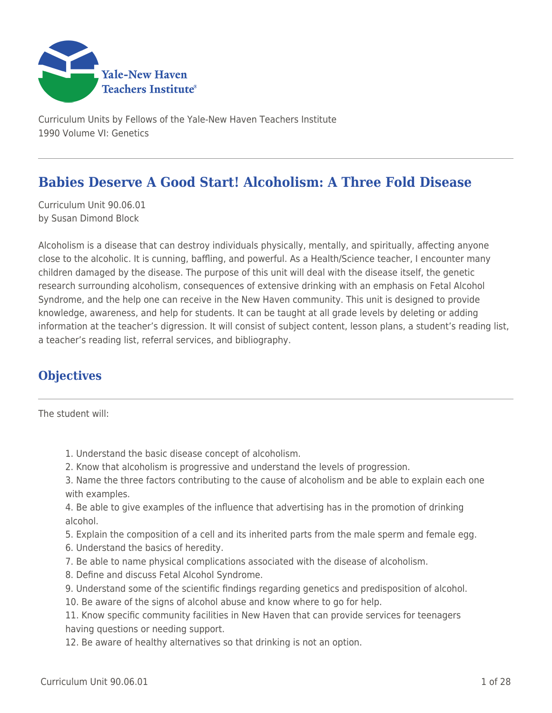

Curriculum Units by Fellows of the Yale-New Haven Teachers Institute 1990 Volume VI: Genetics

# **Babies Deserve A Good Start! Alcoholism: A Three Fold Disease**

Curriculum Unit 90.06.01 by Susan Dimond Block

Alcoholism is a disease that can destroy individuals physically, mentally, and spiritually, affecting anyone close to the alcoholic. It is cunning, baffling, and powerful. As a Health/Science teacher, I encounter many children damaged by the disease. The purpose of this unit will deal with the disease itself, the genetic research surrounding alcoholism, consequences of extensive drinking with an emphasis on Fetal Alcohol Syndrome, and the help one can receive in the New Haven community. This unit is designed to provide knowledge, awareness, and help for students. It can be taught at all grade levels by deleting or adding information at the teacher's digression. It will consist of subject content, lesson plans, a student's reading list, a teacher's reading list, referral services, and bibliography.

## **Objectives**

The student will:

- 1. Understand the basic disease concept of alcoholism.
- 2. Know that alcoholism is progressive and understand the levels of progression.
- 3. Name the three factors contributing to the cause of alcoholism and be able to explain each one with examples.
- 4. Be able to give examples of the influence that advertising has in the promotion of drinking alcohol.
- 5. Explain the composition of a cell and its inherited parts from the male sperm and female egg.
- 6. Understand the basics of heredity.
- 7. Be able to name physical complications associated with the disease of alcoholism.
- 8. Define and discuss Fetal Alcohol Syndrome.
- 9. Understand some of the scientific findings regarding genetics and predisposition of alcohol.
- 10. Be aware of the signs of alcohol abuse and know where to go for help.

11. Know specific community facilities in New Haven that can provide services for teenagers having questions or needing support.

12. Be aware of healthy alternatives so that drinking is not an option.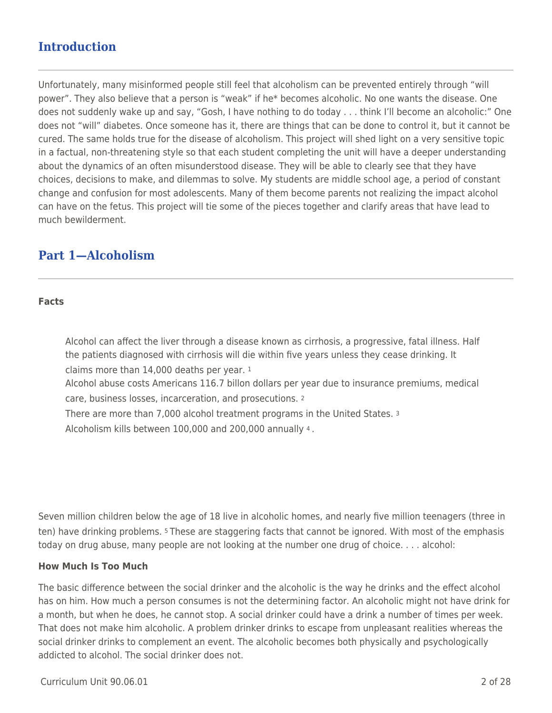# **Introduction**

Unfortunately, many misinformed people still feel that alcoholism can be prevented entirely through "will power". They also believe that a person is "weak" if he\* becomes alcoholic. No one wants the disease. One does not suddenly wake up and say, "Gosh, I have nothing to do today . . . think I'll become an alcoholic:" One does not "will" diabetes. Once someone has it, there are things that can be done to control it, but it cannot be cured. The same holds true for the disease of alcoholism. This project will shed light on a very sensitive topic in a factual, non-threatening style so that each student completing the unit will have a deeper understanding about the dynamics of an often misunderstood disease. They will be able to clearly see that they have choices, decisions to make, and dilemmas to solve. My students are middle school age, a period of constant change and confusion for most adolescents. Many of them become parents not realizing the impact alcohol can have on the fetus. This project will tie some of the pieces together and clarify areas that have lead to much bewilderment.

## **Part 1—Alcoholism**

#### **Facts**

Alcohol can affect the liver through a disease known as cirrhosis, a progressive, fatal illness. Half the patients diagnosed with cirrhosis will die within five years unless they cease drinking. It claims more than 14,000 deaths per year. <sup>1</sup>

Alcohol abuse costs Americans 116.7 billon dollars per year due to insurance premiums, medical care, business losses, incarceration, and prosecutions. <sup>2</sup>

There are more than 7,000 alcohol treatment programs in the United States. <sup>3</sup> Alcoholism kills between 100,000 and 200,000 annually 4 .

Seven million children below the age of 18 live in alcoholic homes, and nearly five million teenagers (three in ten) have drinking problems. 5 These are staggering facts that cannot be ignored. With most of the emphasis today on drug abuse, many people are not looking at the number one drug of choice. . . . alcohol:

### **How Much Is Too Much**

The basic difference between the social drinker and the alcoholic is the way he drinks and the effect alcohol has on him. How much a person consumes is not the determining factor. An alcoholic might not have drink for a month, but when he does, he cannot stop. A social drinker could have a drink a number of times per week. That does not make him alcoholic. A problem drinker drinks to escape from unpleasant realities whereas the social drinker drinks to complement an event. The alcoholic becomes both physically and psychologically addicted to alcohol. The social drinker does not.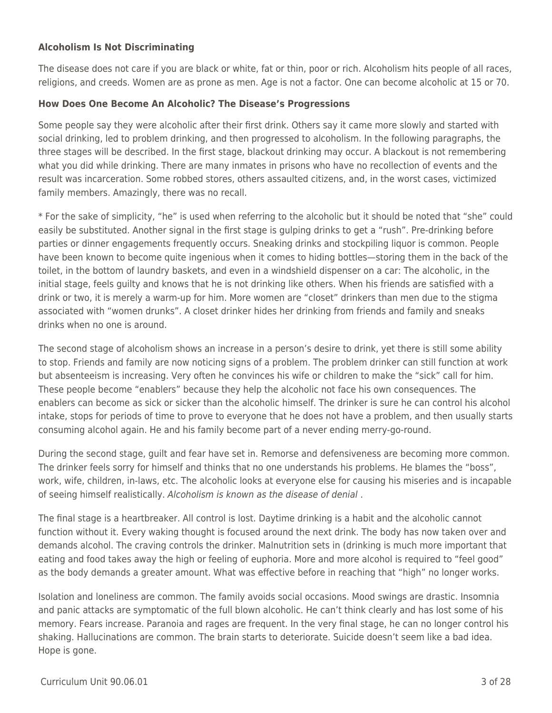## **Alcoholism Is Not Discriminating**

The disease does not care if you are black or white, fat or thin, poor or rich. Alcoholism hits people of all races, religions, and creeds. Women are as prone as men. Age is not a factor. One can become alcoholic at 15 or 70.

### **How Does One Become An Alcoholic? The Disease's Progressions**

Some people say they were alcoholic after their first drink. Others say it came more slowly and started with social drinking, led to problem drinking, and then progressed to alcoholism. In the following paragraphs, the three stages will be described. In the first stage, blackout drinking may occur. A blackout is not remembering what you did while drinking. There are many inmates in prisons who have no recollection of events and the result was incarceration. Some robbed stores, others assaulted citizens, and, in the worst cases, victimized family members. Amazingly, there was no recall.

\* For the sake of simplicity, "he" is used when referring to the alcoholic but it should be noted that "she" could easily be substituted. Another signal in the first stage is gulping drinks to get a "rush". Pre-drinking before parties or dinner engagements frequently occurs. Sneaking drinks and stockpiling liquor is common. People have been known to become quite ingenious when it comes to hiding bottles—storing them in the back of the toilet, in the bottom of laundry baskets, and even in a windshield dispenser on a car: The alcoholic, in the initial stage, feels guilty and knows that he is not drinking like others. When his friends are satisfied with a drink or two, it is merely a warm-up for him. More women are "closet" drinkers than men due to the stigma associated with "women drunks". A closet drinker hides her drinking from friends and family and sneaks drinks when no one is around.

The second stage of alcoholism shows an increase in a person's desire to drink, yet there is still some ability to stop. Friends and family are now noticing signs of a problem. The problem drinker can still function at work but absenteeism is increasing. Very often he convinces his wife or children to make the "sick" call for him. These people become "enablers" because they help the alcoholic not face his own consequences. The enablers can become as sick or sicker than the alcoholic himself. The drinker is sure he can control his alcohol intake, stops for periods of time to prove to everyone that he does not have a problem, and then usually starts consuming alcohol again. He and his family become part of a never ending merry-go-round.

During the second stage, guilt and fear have set in. Remorse and defensiveness are becoming more common. The drinker feels sorry for himself and thinks that no one understands his problems. He blames the "boss", work, wife, children, in-laws, etc. The alcoholic looks at everyone else for causing his miseries and is incapable of seeing himself realistically. Alcoholism is known as the disease of denial .

The final stage is a heartbreaker. All control is lost. Daytime drinking is a habit and the alcoholic cannot function without it. Every waking thought is focused around the next drink. The body has now taken over and demands alcohol. The craving controls the drinker. Malnutrition sets in (drinking is much more important that eating and food takes away the high or feeling of euphoria. More and more alcohol is required to "feel good" as the body demands a greater amount. What was effective before in reaching that "high" no longer works.

Isolation and loneliness are common. The family avoids social occasions. Mood swings are drastic. Insomnia and panic attacks are symptomatic of the full blown alcoholic. He can't think clearly and has lost some of his memory. Fears increase. Paranoia and rages are frequent. In the very final stage, he can no longer control his shaking. Hallucinations are common. The brain starts to deteriorate. Suicide doesn't seem like a bad idea. Hope is gone.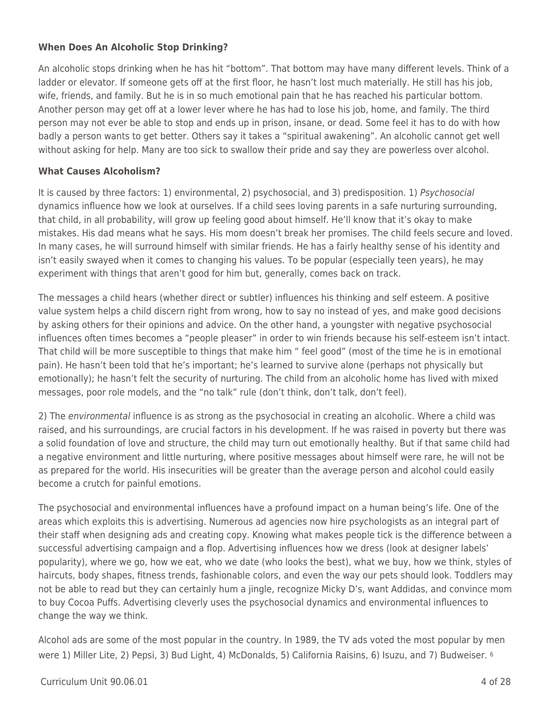## **When Does An Alcoholic Stop Drinking?**

An alcoholic stops drinking when he has hit "bottom". That bottom may have many different levels. Think of a ladder or elevator. If someone gets off at the first floor, he hasn't lost much materially. He still has his job, wife, friends, and family. But he is in so much emotional pain that he has reached his particular bottom. Another person may get off at a lower lever where he has had to lose his job, home, and family. The third person may not ever be able to stop and ends up in prison, insane, or dead. Some feel it has to do with how badly a person wants to get better. Others say it takes a "spiritual awakening". An alcoholic cannot get well without asking for help. Many are too sick to swallow their pride and say they are powerless over alcohol.

## **What Causes Alcoholism?**

It is caused by three factors: 1) environmental, 2) psychosocial, and 3) predisposition. 1) Psychosocial dynamics influence how we look at ourselves. If a child sees loving parents in a safe nurturing surrounding, that child, in all probability, will grow up feeling good about himself. He'll know that it's okay to make mistakes. His dad means what he says. His mom doesn't break her promises. The child feels secure and loved. In many cases, he will surround himself with similar friends. He has a fairly healthy sense of his identity and isn't easily swayed when it comes to changing his values. To be popular (especially teen years), he may experiment with things that aren't good for him but, generally, comes back on track.

The messages a child hears (whether direct or subtler) influences his thinking and self esteem. A positive value system helps a child discern right from wrong, how to say no instead of yes, and make good decisions by asking others for their opinions and advice. On the other hand, a youngster with negative psychosocial influences often times becomes a "people pleaser" in order to win friends because his self-esteem isn't intact. That child will be more susceptible to things that make him " feel good" (most of the time he is in emotional pain). He hasn't been told that he's important; he's learned to survive alone (perhaps not physically but emotionally); he hasn't felt the security of nurturing. The child from an alcoholic home has lived with mixed messages, poor role models, and the "no talk" rule (don't think, don't talk, don't feel).

2) The environmental influence is as strong as the psychosocial in creating an alcoholic. Where a child was raised, and his surroundings, are crucial factors in his development. If he was raised in poverty but there was a solid foundation of love and structure, the child may turn out emotionally healthy. But if that same child had a negative environment and little nurturing, where positive messages about himself were rare, he will not be as prepared for the world. His insecurities will be greater than the average person and alcohol could easily become a crutch for painful emotions.

The psychosocial and environmental influences have a profound impact on a human being's life. One of the areas which exploits this is advertising. Numerous ad agencies now hire psychologists as an integral part of their staff when designing ads and creating copy. Knowing what makes people tick is the difference between a successful advertising campaign and a flop. Advertising influences how we dress (look at designer labels' popularity), where we go, how we eat, who we date (who looks the best), what we buy, how we think, styles of haircuts, body shapes, fitness trends, fashionable colors, and even the way our pets should look. Toddlers may not be able to read but they can certainly hum a jingle, recognize Micky D's, want Addidas, and convince mom to buy Cocoa Puffs. Advertising cleverly uses the psychosocial dynamics and environmental influences to change the way we think.

Alcohol ads are some of the most popular in the country. In 1989, the TV ads voted the most popular by men were 1) Miller Lite, 2) Pepsi, 3) Bud Light, 4) McDonalds, 5) California Raisins, 6) Isuzu, and 7) Budweiser. 6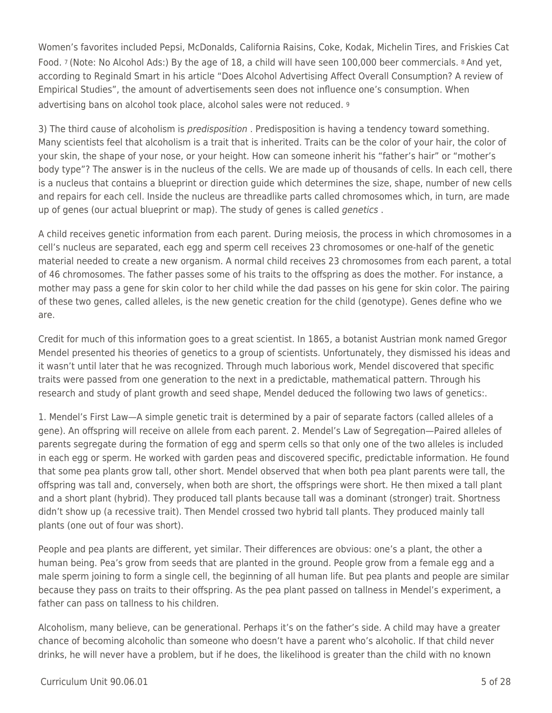Women's favorites included Pepsi, McDonalds, California Raisins, Coke, Kodak, Michelin Tires, and Friskies Cat Food. 7 (Note: No Alcohol Ads:) By the age of 18, a child will have seen 100,000 beer commercials. 8 And yet, according to Reginald Smart in his article "Does Alcohol Advertising Affect Overall Consumption? A review of Empirical Studies", the amount of advertisements seen does not influence one's consumption. When advertising bans on alcohol took place, alcohol sales were not reduced. <sup>9</sup>

3) The third cause of alcoholism is *predisposition* . Predisposition is having a tendency toward something. Many scientists feel that alcoholism is a trait that is inherited. Traits can be the color of your hair, the color of your skin, the shape of your nose, or your height. How can someone inherit his "father's hair" or "mother's body type"? The answer is in the nucleus of the cells. We are made up of thousands of cells. In each cell, there is a nucleus that contains a blueprint or direction guide which determines the size, shape, number of new cells and repairs for each cell. Inside the nucleus are threadlike parts called chromosomes which, in turn, are made up of genes (our actual blueprint or map). The study of genes is called genetics .

A child receives genetic information from each parent. During meiosis, the process in which chromosomes in a cell's nucleus are separated, each egg and sperm cell receives 23 chromosomes or one-half of the genetic material needed to create a new organism. A normal child receives 23 chromosomes from each parent, a total of 46 chromosomes. The father passes some of his traits to the offspring as does the mother. For instance, a mother may pass a gene for skin color to her child while the dad passes on his gene for skin color. The pairing of these two genes, called alleles, is the new genetic creation for the child (genotype). Genes define who we are.

Credit for much of this information goes to a great scientist. In 1865, a botanist Austrian monk named Gregor Mendel presented his theories of genetics to a group of scientists. Unfortunately, they dismissed his ideas and it wasn't until later that he was recognized. Through much laborious work, Mendel discovered that specific traits were passed from one generation to the next in a predictable, mathematical pattern. Through his research and study of plant growth and seed shape, Mendel deduced the following two laws of genetics:.

1. Mendel's First Law—A simple genetic trait is determined by a pair of separate factors (called alleles of a gene). An offspring will receive on allele from each parent. 2. Mendel's Law of Segregation—Paired alleles of parents segregate during the formation of egg and sperm cells so that only one of the two alleles is included in each egg or sperm. He worked with garden peas and discovered specific, predictable information. He found that some pea plants grow tall, other short. Mendel observed that when both pea plant parents were tall, the offspring was tall and, conversely, when both are short, the offsprings were short. He then mixed a tall plant and a short plant (hybrid). They produced tall plants because tall was a dominant (stronger) trait. Shortness didn't show up (a recessive trait). Then Mendel crossed two hybrid tall plants. They produced mainly tall plants (one out of four was short).

People and pea plants are different, yet similar. Their differences are obvious: one's a plant, the other a human being. Pea's grow from seeds that are planted in the ground. People grow from a female egg and a male sperm joining to form a single cell, the beginning of all human life. But pea plants and people are similar because they pass on traits to their offspring. As the pea plant passed on tallness in Mendel's experiment, a father can pass on tallness to his children.

Alcoholism, many believe, can be generational. Perhaps it's on the father's side. A child may have a greater chance of becoming alcoholic than someone who doesn't have a parent who's alcoholic. If that child never drinks, he will never have a problem, but if he does, the likelihood is greater than the child with no known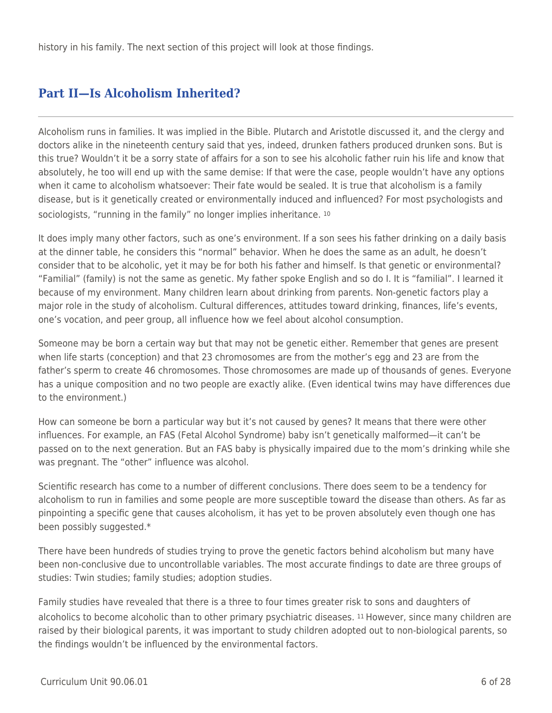history in his family. The next section of this project will look at those findings.

# **Part II—Is Alcoholism Inherited?**

Alcoholism runs in families. It was implied in the Bible. Plutarch and Aristotle discussed it, and the clergy and doctors alike in the nineteenth century said that yes, indeed, drunken fathers produced drunken sons. But is this true? Wouldn't it be a sorry state of affairs for a son to see his alcoholic father ruin his life and know that absolutely, he too will end up with the same demise: If that were the case, people wouldn't have any options when it came to alcoholism whatsoever: Their fate would be sealed. It is true that alcoholism is a family disease, but is it genetically created or environmentally induced and influenced? For most psychologists and sociologists, "running in the family" no longer implies inheritance. 10

It does imply many other factors, such as one's environment. If a son sees his father drinking on a daily basis at the dinner table, he considers this "normal" behavior. When he does the same as an adult, he doesn't consider that to be alcoholic, yet it may be for both his father and himself. Is that genetic or environmental? "Familial" (family) is not the same as genetic. My father spoke English and so do I. It is "familial". I learned it because of my environment. Many children learn about drinking from parents. Non-genetic factors play a major role in the study of alcoholism. Cultural differences, attitudes toward drinking, finances, life's events, one's vocation, and peer group, all influence how we feel about alcohol consumption.

Someone may be born a certain way but that may not be genetic either. Remember that genes are present when life starts (conception) and that 23 chromosomes are from the mother's egg and 23 are from the father's sperm to create 46 chromosomes. Those chromosomes are made up of thousands of genes. Everyone has a unique composition and no two people are exactly alike. (Even identical twins may have differences due to the environment.)

How can someone be born a particular way but it's not caused by genes? It means that there were other influences. For example, an FAS (Fetal Alcohol Syndrome) baby isn't genetically malformed—it can't be passed on to the next generation. But an FAS baby is physically impaired due to the mom's drinking while she was pregnant. The "other" influence was alcohol.

Scientific research has come to a number of different conclusions. There does seem to be a tendency for alcoholism to run in families and some people are more susceptible toward the disease than others. As far as pinpointing a specific gene that causes alcoholism, it has yet to be proven absolutely even though one has been possibly suggested.\*

There have been hundreds of studies trying to prove the genetic factors behind alcoholism but many have been non-conclusive due to uncontrollable variables. The most accurate findings to date are three groups of studies: Twin studies; family studies; adoption studies.

Family studies have revealed that there is a three to four times greater risk to sons and daughters of alcoholics to become alcoholic than to other primary psychiatric diseases. 11 However, since many children are raised by their biological parents, it was important to study children adopted out to non-biological parents, so the findings wouldn't be influenced by the environmental factors.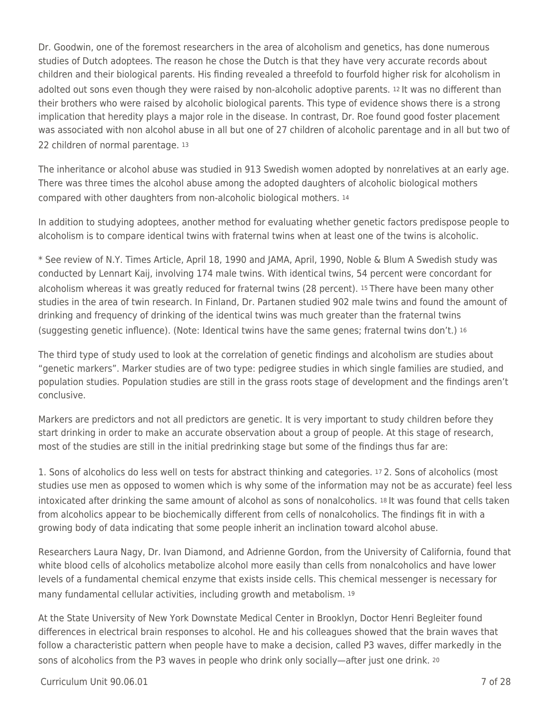Dr. Goodwin, one of the foremost researchers in the area of alcoholism and genetics, has done numerous studies of Dutch adoptees. The reason he chose the Dutch is that they have very accurate records about children and their biological parents. His finding revealed a threefold to fourfold higher risk for alcoholism in adolted out sons even though they were raised by non-alcoholic adoptive parents. 12 It was no different than their brothers who were raised by alcoholic biological parents. This type of evidence shows there is a strong implication that heredity plays a major role in the disease. In contrast, Dr. Roe found good foster placement was associated with non alcohol abuse in all but one of 27 children of alcoholic parentage and in all but two of 22 children of normal parentage. 13

The inheritance or alcohol abuse was studied in 913 Swedish women adopted by nonrelatives at an early age. There was three times the alcohol abuse among the adopted daughters of alcoholic biological mothers compared with other daughters from non-alcoholic biological mothers. <sup>14</sup>

In addition to studying adoptees, another method for evaluating whether genetic factors predispose people to alcoholism is to compare identical twins with fraternal twins when at least one of the twins is alcoholic.

\* See review of N.Y. Times Article, April 18, 1990 and JAMA, April, 1990, Noble & Blum A Swedish study was conducted by Lennart Kaij, involving 174 male twins. With identical twins, 54 percent were concordant for alcoholism whereas it was greatly reduced for fraternal twins (28 percent). 15 There have been many other studies in the area of twin research. In Finland, Dr. Partanen studied 902 male twins and found the amount of drinking and frequency of drinking of the identical twins was much greater than the fraternal twins (suggesting genetic influence). (Note: Identical twins have the same genes; fraternal twins don't.) <sup>16</sup>

The third type of study used to look at the correlation of genetic findings and alcoholism are studies about "genetic markers". Marker studies are of two type: pedigree studies in which single families are studied, and population studies. Population studies are still in the grass roots stage of development and the findings aren't conclusive.

Markers are predictors and not all predictors are genetic. It is very important to study children before they start drinking in order to make an accurate observation about a group of people. At this stage of research, most of the studies are still in the initial predrinking stage but some of the findings thus far are:

1. Sons of alcoholics do less well on tests for abstract thinking and categories. 17 2. Sons of alcoholics (most studies use men as opposed to women which is why some of the information may not be as accurate) feel less intoxicated after drinking the same amount of alcohol as sons of nonalcoholics. 18 It was found that cells taken from alcoholics appear to be biochemically different from cells of nonalcoholics. The findings fit in with a growing body of data indicating that some people inherit an inclination toward alcohol abuse.

Researchers Laura Nagy, Dr. Ivan Diamond, and Adrienne Gordon, from the University of California, found that white blood cells of alcoholics metabolize alcohol more easily than cells from nonalcoholics and have lower levels of a fundamental chemical enzyme that exists inside cells. This chemical messenger is necessary for many fundamental cellular activities, including growth and metabolism. <sup>19</sup>

At the State University of New York Downstate Medical Center in Brooklyn, Doctor Henri Begleiter found differences in electrical brain responses to alcohol. He and his colleagues showed that the brain waves that follow a characteristic pattern when people have to make a decision, called P3 waves, differ markedly in the sons of alcoholics from the P3 waves in people who drink only socially—after just one drink. 20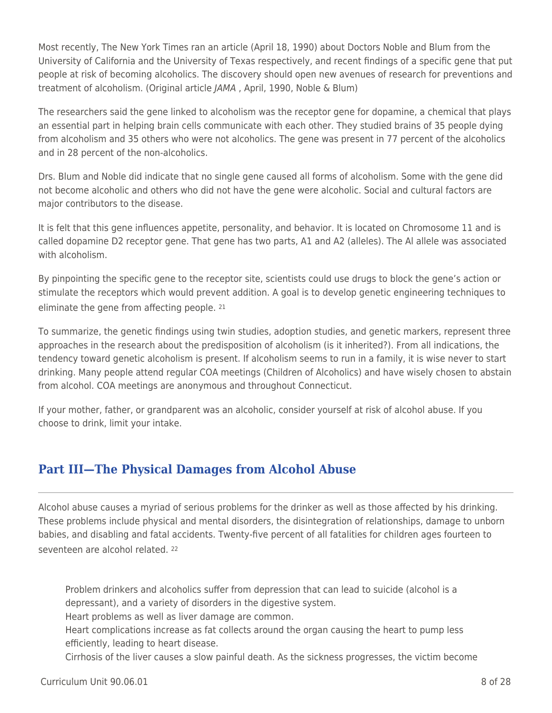Most recently, The New York Times ran an article (April 18, 1990) about Doctors Noble and Blum from the University of California and the University of Texas respectively, and recent findings of a specific gene that put people at risk of becoming alcoholics. The discovery should open new avenues of research for preventions and treatment of alcoholism. (Original article JAMA , April, 1990, Noble & Blum)

The researchers said the gene linked to alcoholism was the receptor gene for dopamine, a chemical that plays an essential part in helping brain cells communicate with each other. They studied brains of 35 people dying from alcoholism and 35 others who were not alcoholics. The gene was present in 77 percent of the alcoholics and in 28 percent of the non-alcoholics.

Drs. Blum and Noble did indicate that no single gene caused all forms of alcoholism. Some with the gene did not become alcoholic and others who did not have the gene were alcoholic. Social and cultural factors are major contributors to the disease.

It is felt that this gene influences appetite, personality, and behavior. It is located on Chromosome 11 and is called dopamine D2 receptor gene. That gene has two parts, A1 and A2 (alleles). The Al allele was associated with alcoholism.

By pinpointing the specific gene to the receptor site, scientists could use drugs to block the gene's action or stimulate the receptors which would prevent addition. A goal is to develop genetic engineering techniques to eliminate the gene from affecting people. <sup>21</sup>

To summarize, the genetic findings using twin studies, adoption studies, and genetic markers, represent three approaches in the research about the predisposition of alcoholism (is it inherited?). From all indications, the tendency toward genetic alcoholism is present. If alcoholism seems to run in a family, it is wise never to start drinking. Many people attend regular COA meetings (Children of Alcoholics) and have wisely chosen to abstain from alcohol. COA meetings are anonymous and throughout Connecticut.

If your mother, father, or grandparent was an alcoholic, consider yourself at risk of alcohol abuse. If you choose to drink, limit your intake.

# **Part III—The Physical Damages from Alcohol Abuse**

Alcohol abuse causes a myriad of serious problems for the drinker as well as those affected by his drinking. These problems include physical and mental disorders, the disintegration of relationships, damage to unborn babies, and disabling and fatal accidents. Twenty-five percent of all fatalities for children ages fourteen to seventeen are alcohol related. <sup>22</sup>

Problem drinkers and alcoholics suffer from depression that can lead to suicide (alcohol is a depressant), and a variety of disorders in the digestive system.

Heart problems as well as liver damage are common.

Heart complications increase as fat collects around the organ causing the heart to pump less efficiently, leading to heart disease.

Cirrhosis of the liver causes a slow painful death. As the sickness progresses, the victim become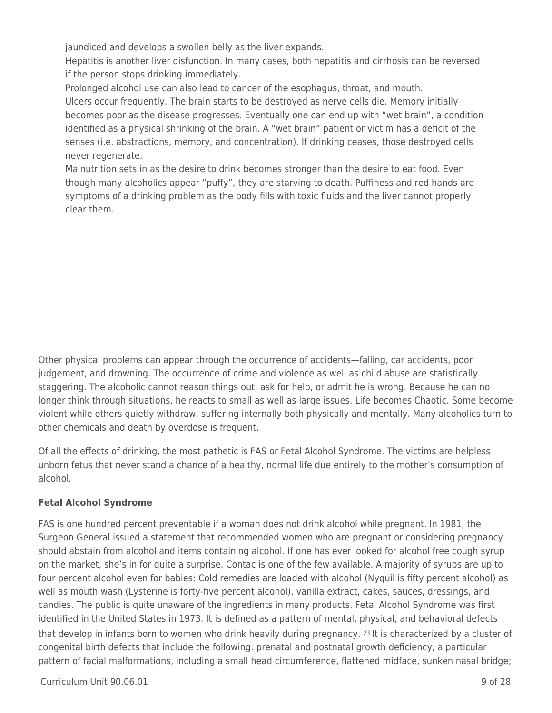jaundiced and develops a swollen belly as the liver expands.

Hepatitis is another liver disfunction. In many cases, both hepatitis and cirrhosis can be reversed if the person stops drinking immediately.

Prolonged alcohol use can also lead to cancer of the esophagus, throat, and mouth.

Ulcers occur frequently. The brain starts to be destroyed as nerve cells die. Memory initially becomes poor as the disease progresses. Eventually one can end up with "wet brain", a condition identified as a physical shrinking of the brain. A "wet brain" patient or victim has a deficit of the senses (i.e. abstractions, memory, and concentration). If drinking ceases, those destroyed cells never regenerate.

Malnutrition sets in as the desire to drink becomes stronger than the desire to eat food. Even though many alcoholics appear "puffy", they are starving to death. Puffiness and red hands are symptoms of a drinking problem as the body fills with toxic fluids and the liver cannot properly clear them.

Other physical problems can appear through the occurrence of accidents—falling, car accidents, poor judgement, and drowning. The occurrence of crime and violence as well as child abuse are statistically staggering. The alcoholic cannot reason things out, ask for help, or admit he is wrong. Because he can no longer think through situations, he reacts to small as well as large issues. Life becomes Chaotic. Some become violent while others quietly withdraw, suffering internally both physically and mentally. Many alcoholics turn to other chemicals and death by overdose is frequent.

Of all the effects of drinking, the most pathetic is FAS or Fetal Alcohol Syndrome. The victims are helpless unborn fetus that never stand a chance of a healthy, normal life due entirely to the mother's consumption of alcohol.

## **Fetal Alcohol Syndrome**

FAS is one hundred percent preventable if a woman does not drink alcohol while pregnant. In 1981, the Surgeon General issued a statement that recommended women who are pregnant or considering pregnancy should abstain from alcohol and items containing alcohol. If one has ever looked for alcohol free cough syrup on the market, she's in for quite a surprise. Contac is one of the few available. A majority of syrups are up to four percent alcohol even for babies: Cold remedies are loaded with alcohol (Nyquil is fifty percent alcohol) as well as mouth wash (Lysterine is forty-five percent alcohol), vanilla extract, cakes, sauces, dressings, and candies. The public is quite unaware of the ingredients in many products. Fetal Alcohol Syndrome was first identified in the United States in 1973. It is defined as a pattern of mental, physical, and behavioral defects that develop in infants born to women who drink heavily during pregnancy. 23 It is characterized by a cluster of congenital birth defects that include the following: prenatal and postnatal growth deficiency; a particular pattern of facial malformations, including a small head circumference, flattened midface, sunken nasal bridge;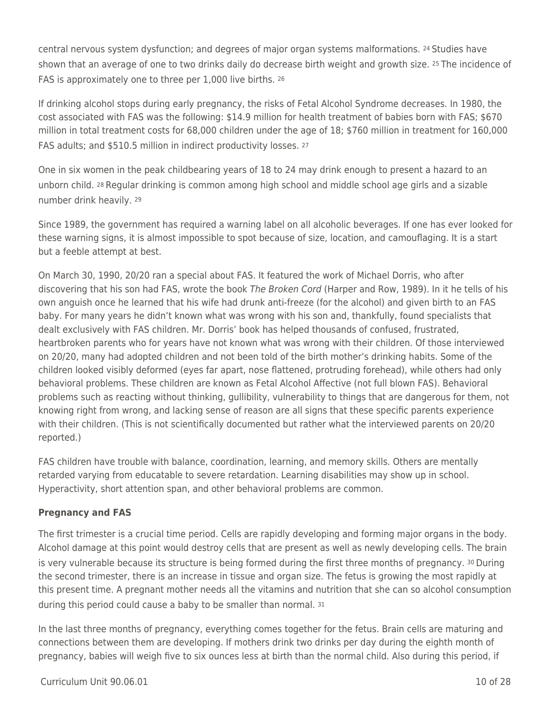central nervous system dysfunction; and degrees of major organ systems malformations. 24 Studies have shown that an average of one to two drinks daily do decrease birth weight and growth size. 25 The incidence of FAS is approximately one to three per 1,000 live births. <sup>26</sup>

If drinking alcohol stops during early pregnancy, the risks of Fetal Alcohol Syndrome decreases. In 1980, the cost associated with FAS was the following: \$14.9 million for health treatment of babies born with FAS; \$670 million in total treatment costs for 68,000 children under the age of 18; \$760 million in treatment for 160,000 FAS adults; and \$510.5 million in indirect productivity losses. <sup>27</sup>

One in six women in the peak childbearing years of 18 to 24 may drink enough to present a hazard to an unborn child. 28 Regular drinking is common among high school and middle school age girls and a sizable number drink heavily. <sup>29</sup>

Since 1989, the government has required a warning label on all alcoholic beverages. If one has ever looked for these warning signs, it is almost impossible to spot because of size, location, and camouflaging. It is a start but a feeble attempt at best.

On March 30, 1990, 20/20 ran a special about FAS. It featured the work of Michael Dorris, who after discovering that his son had FAS, wrote the book The Broken Cord (Harper and Row, 1989). In it he tells of his own anguish once he learned that his wife had drunk anti-freeze (for the alcohol) and given birth to an FAS baby. For many years he didn't known what was wrong with his son and, thankfully, found specialists that dealt exclusively with FAS children. Mr. Dorris' book has helped thousands of confused, frustrated, heartbroken parents who for years have not known what was wrong with their children. Of those interviewed on 20/20, many had adopted children and not been told of the birth mother's drinking habits. Some of the children looked visibly deformed (eyes far apart, nose flattened, protruding forehead), while others had only behavioral problems. These children are known as Fetal Alcohol Affective (not full blown FAS). Behavioral problems such as reacting without thinking, gullibility, vulnerability to things that are dangerous for them, not knowing right from wrong, and lacking sense of reason are all signs that these specific parents experience with their children. (This is not scientifically documented but rather what the interviewed parents on 20/20 reported.)

FAS children have trouble with balance, coordination, learning, and memory skills. Others are mentally retarded varying from educatable to severe retardation. Learning disabilities may show up in school. Hyperactivity, short attention span, and other behavioral problems are common.

## **Pregnancy and FAS**

The first trimester is a crucial time period. Cells are rapidly developing and forming major organs in the body. Alcohol damage at this point would destroy cells that are present as well as newly developing cells. The brain is very vulnerable because its structure is being formed during the first three months of pregnancy. 30 During the second trimester, there is an increase in tissue and organ size. The fetus is growing the most rapidly at this present time. A pregnant mother needs all the vitamins and nutrition that she can so alcohol consumption during this period could cause a baby to be smaller than normal. <sup>31</sup>

In the last three months of pregnancy, everything comes together for the fetus. Brain cells are maturing and connections between them are developing. If mothers drink two drinks per day during the eighth month of pregnancy, babies will weigh five to six ounces less at birth than the normal child. Also during this period, if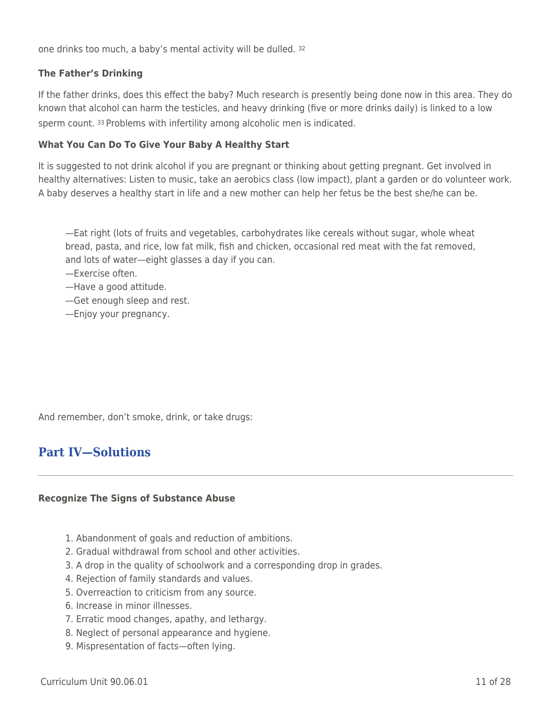one drinks too much, a baby's mental activity will be dulled. <sup>32</sup>

## **The Father's Drinking**

If the father drinks, does this effect the baby? Much research is presently being done now in this area. They do known that alcohol can harm the testicles, and heavy drinking (five or more drinks daily) is linked to a low sperm count. 33 Problems with infertility among alcoholic men is indicated.

## **What You Can Do To Give Your Baby A Healthy Start**

It is suggested to not drink alcohol if you are pregnant or thinking about getting pregnant. Get involved in healthy alternatives: Listen to music, take an aerobics class (low impact), plant a garden or do volunteer work. A baby deserves a healthy start in life and a new mother can help her fetus be the best she/he can be.

—Eat right (lots of fruits and vegetables, carbohydrates like cereals without sugar, whole wheat bread, pasta, and rice, low fat milk, fish and chicken, occasional red meat with the fat removed, and lots of water—eight glasses a day if you can.

—Exercise often.

—Have a good attitude.

- —Get enough sleep and rest.
- —Enjoy your pregnancy.

And remember, don't smoke, drink, or take drugs:

## **Part IV—Solutions**

### **Recognize The Signs of Substance Abuse**

- 1. Abandonment of goals and reduction of ambitions.
- 2. Gradual withdrawal from school and other activities.
- 3. A drop in the quality of schoolwork and a corresponding drop in grades.
- 4. Rejection of family standards and values.
- 5. Overreaction to criticism from any source.
- 6. Increase in minor illnesses.
- 7. Erratic mood changes, apathy, and lethargy.
- 8. Neglect of personal appearance and hygiene.
- 9. Mispresentation of facts—often lying.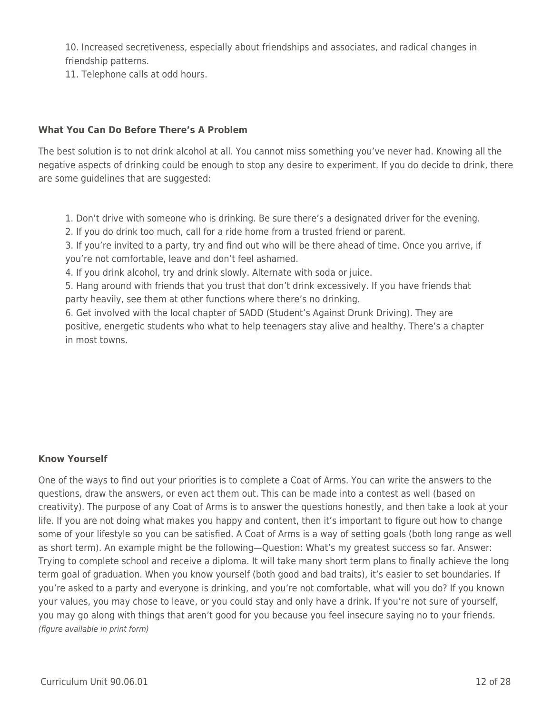10. Increased secretiveness, especially about friendships and associates, and radical changes in friendship patterns.

11. Telephone calls at odd hours.

## **What You Can Do Before There's A Problem**

The best solution is to not drink alcohol at all. You cannot miss something you've never had. Knowing all the negative aspects of drinking could be enough to stop any desire to experiment. If you do decide to drink, there are some guidelines that are suggested:

- 1. Don't drive with someone who is drinking. Be sure there's a designated driver for the evening.
- 2. If you do drink too much, call for a ride home from a trusted friend or parent.

3. If you're invited to a party, try and find out who will be there ahead of time. Once you arrive, if you're not comfortable, leave and don't feel ashamed.

4. If you drink alcohol, try and drink slowly. Alternate with soda or juice.

5. Hang around with friends that you trust that don't drink excessively. If you have friends that party heavily, see them at other functions where there's no drinking.

6. Get involved with the local chapter of SADD (Student's Against Drunk Driving). They are positive, energetic students who what to help teenagers stay alive and healthy. There's a chapter in most towns.

## **Know Yourself**

One of the ways to find out your priorities is to complete a Coat of Arms. You can write the answers to the questions, draw the answers, or even act them out. This can be made into a contest as well (based on creativity). The purpose of any Coat of Arms is to answer the questions honestly, and then take a look at your life. If you are not doing what makes you happy and content, then it's important to figure out how to change some of your lifestyle so you can be satisfied. A Coat of Arms is a way of setting goals (both long range as well as short term). An example might be the following—Question: What's my greatest success so far. Answer: Trying to complete school and receive a diploma. It will take many short term plans to finally achieve the long term goal of graduation. When you know yourself (both good and bad traits), it's easier to set boundaries. If you're asked to a party and everyone is drinking, and you're not comfortable, what will you do? If you known your values, you may chose to leave, or you could stay and only have a drink. If you're not sure of yourself, you may go along with things that aren't good for you because you feel insecure saying no to your friends. (figure available in print form)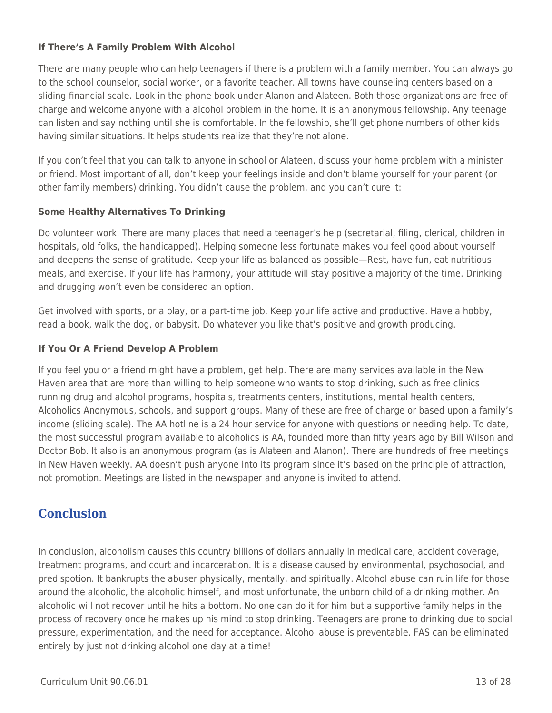## **If There's A Family Problem With Alcohol**

There are many people who can help teenagers if there is a problem with a family member. You can always go to the school counselor, social worker, or a favorite teacher. All towns have counseling centers based on a sliding financial scale. Look in the phone book under Alanon and Alateen. Both those organizations are free of charge and welcome anyone with a alcohol problem in the home. It is an anonymous fellowship. Any teenage can listen and say nothing until she is comfortable. In the fellowship, she'll get phone numbers of other kids having similar situations. It helps students realize that they're not alone.

If you don't feel that you can talk to anyone in school or Alateen, discuss your home problem with a minister or friend. Most important of all, don't keep your feelings inside and don't blame yourself for your parent (or other family members) drinking. You didn't cause the problem, and you can't cure it:

## **Some Healthy Alternatives To Drinking**

Do volunteer work. There are many places that need a teenager's help (secretarial, filing, clerical, children in hospitals, old folks, the handicapped). Helping someone less fortunate makes you feel good about yourself and deepens the sense of gratitude. Keep your life as balanced as possible—Rest, have fun, eat nutritious meals, and exercise. If your life has harmony, your attitude will stay positive a majority of the time. Drinking and drugging won't even be considered an option.

Get involved with sports, or a play, or a part-time job. Keep your life active and productive. Have a hobby, read a book, walk the dog, or babysit. Do whatever you like that's positive and growth producing.

## **If You Or A Friend Develop A Problem**

If you feel you or a friend might have a problem, get help. There are many services available in the New Haven area that are more than willing to help someone who wants to stop drinking, such as free clinics running drug and alcohol programs, hospitals, treatments centers, institutions, mental health centers, Alcoholics Anonymous, schools, and support groups. Many of these are free of charge or based upon a family's income (sliding scale). The AA hotline is a 24 hour service for anyone with questions or needing help. To date, the most successful program available to alcoholics is AA, founded more than fifty years ago by Bill Wilson and Doctor Bob. It also is an anonymous program (as is Alateen and Alanon). There are hundreds of free meetings in New Haven weekly. AA doesn't push anyone into its program since it's based on the principle of attraction, not promotion. Meetings are listed in the newspaper and anyone is invited to attend.

## **Conclusion**

In conclusion, alcoholism causes this country billions of dollars annually in medical care, accident coverage, treatment programs, and court and incarceration. It is a disease caused by environmental, psychosocial, and predispotion. It bankrupts the abuser physically, mentally, and spiritually. Alcohol abuse can ruin life for those around the alcoholic, the alcoholic himself, and most unfortunate, the unborn child of a drinking mother. An alcoholic will not recover until he hits a bottom. No one can do it for him but a supportive family helps in the process of recovery once he makes up his mind to stop drinking. Teenagers are prone to drinking due to social pressure, experimentation, and the need for acceptance. Alcohol abuse is preventable. FAS can be eliminated entirely by just not drinking alcohol one day at a time!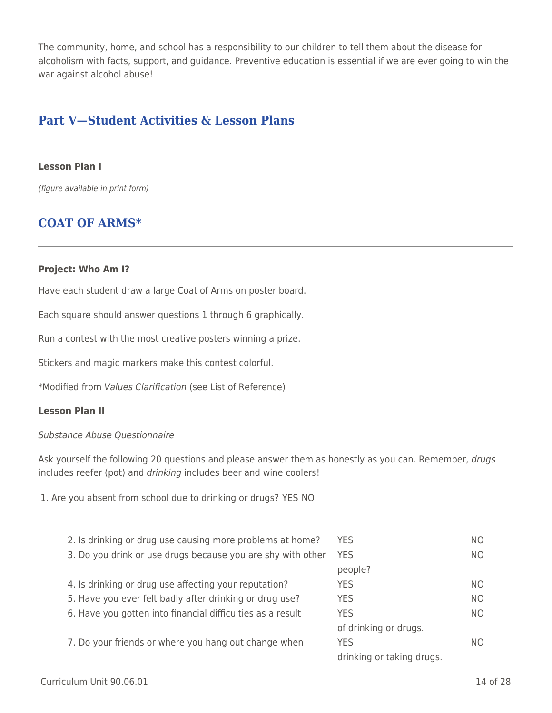The community, home, and school has a responsibility to our children to tell them about the disease for alcoholism with facts, support, and guidance. Preventive education is essential if we are ever going to win the war against alcohol abuse!

## **Part V—Student Activities & Lesson Plans**

#### **Lesson Plan I**

(figure available in print form)

## **COAT OF ARMS\***

#### **Project: Who Am I?**

Have each student draw a large Coat of Arms on poster board.

Each square should answer questions 1 through 6 graphically.

Run a contest with the most creative posters winning a prize.

Stickers and magic markers make this contest colorful.

\*Modified from Values Clarification (see List of Reference)

### **Lesson Plan II**

#### Substance Abuse Questionnaire

Ask yourself the following 20 questions and please answer them as honestly as you can. Remember, drugs includes reefer (pot) and drinking includes beer and wine coolers!

1. Are you absent from school due to drinking or drugs? YES NO

| 2. Is drinking or drug use causing more problems at home?   | YES.                      | NO. |
|-------------------------------------------------------------|---------------------------|-----|
| 3. Do you drink or use drugs because you are shy with other | <b>YES</b>                | NO. |
|                                                             | people?                   |     |
| 4. Is drinking or drug use affecting your reputation?       | <b>YES</b>                | NO. |
| 5. Have you ever felt badly after drinking or drug use?     | <b>YES</b>                | NO. |
| 6. Have you gotten into financial difficulties as a result  | <b>YES</b>                | NO. |
|                                                             | of drinking or drugs.     |     |
| 7. Do your friends or where you hang out change when        | <b>YES</b>                | NO. |
|                                                             | drinking or taking drugs. |     |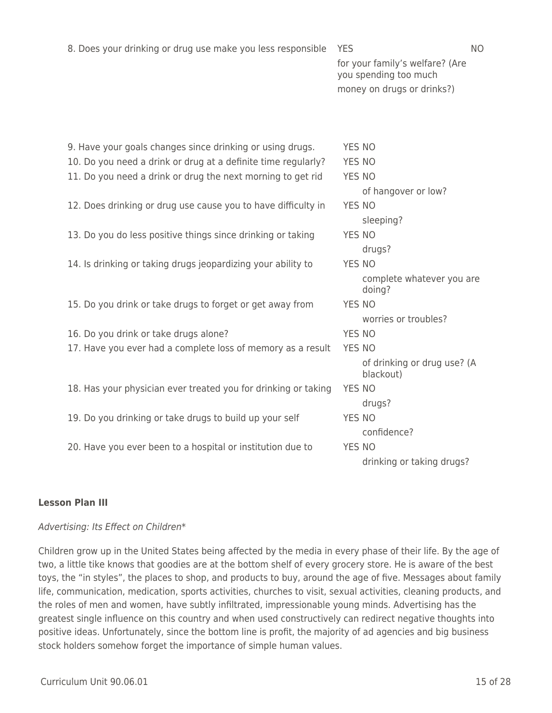|  |  |  | 8. Does your drinking or drug use make you less responsible YES |  |  |
|--|--|--|-----------------------------------------------------------------|--|--|
|--|--|--|-----------------------------------------------------------------|--|--|

for your family's welfare? (Are you spending too much money on drugs or drinks?)

| 9. Have your goals changes since drinking or using drugs.      | <b>YES NO</b> |                                          |
|----------------------------------------------------------------|---------------|------------------------------------------|
| 10. Do you need a drink or drug at a definite time regularly?  | <b>YES NO</b> |                                          |
| 11. Do you need a drink or drug the next morning to get rid    | YES NO        |                                          |
|                                                                |               | of hangover or low?                      |
| 12. Does drinking or drug use cause you to have difficulty in  | <b>YES NO</b> |                                          |
|                                                                |               | sleeping?                                |
| 13. Do you do less positive things since drinking or taking    | YES NO        |                                          |
|                                                                |               | drugs?                                   |
| 14. Is drinking or taking drugs jeopardizing your ability to   | <b>YES NO</b> |                                          |
|                                                                |               | complete whatever you are<br>doing?      |
| 15. Do you drink or take drugs to forget or get away from      | YES NO        |                                          |
|                                                                |               | worries or troubles?                     |
| 16. Do you drink or take drugs alone?                          | <b>YES NO</b> |                                          |
| 17. Have you ever had a complete loss of memory as a result    | <b>YES NO</b> |                                          |
|                                                                |               | of drinking or drug use? (A<br>blackout) |
| 18. Has your physician ever treated you for drinking or taking | <b>YES NO</b> |                                          |
|                                                                |               | drugs?                                   |
| 19. Do you drinking or take drugs to build up your self        | <b>YES NO</b> |                                          |
|                                                                |               | confidence?                              |
| 20. Have you ever been to a hospital or institution due to     | <b>YES NO</b> |                                          |
|                                                                |               | drinking or taking drugs?                |

## **Lesson Plan III**

### Advertising: Its Effect on Children\*

Children grow up in the United States being affected by the media in every phase of their life. By the age of two, a little tike knows that goodies are at the bottom shelf of every grocery store. He is aware of the best toys, the "in styles", the places to shop, and products to buy, around the age of five. Messages about family life, communication, medication, sports activities, churches to visit, sexual activities, cleaning products, and the roles of men and women, have subtly infiltrated, impressionable young minds. Advertising has the greatest single influence on this country and when used constructively can redirect negative thoughts into positive ideas. Unfortunately, since the bottom line is profit, the majority of ad agencies and big business stock holders somehow forget the importance of simple human values.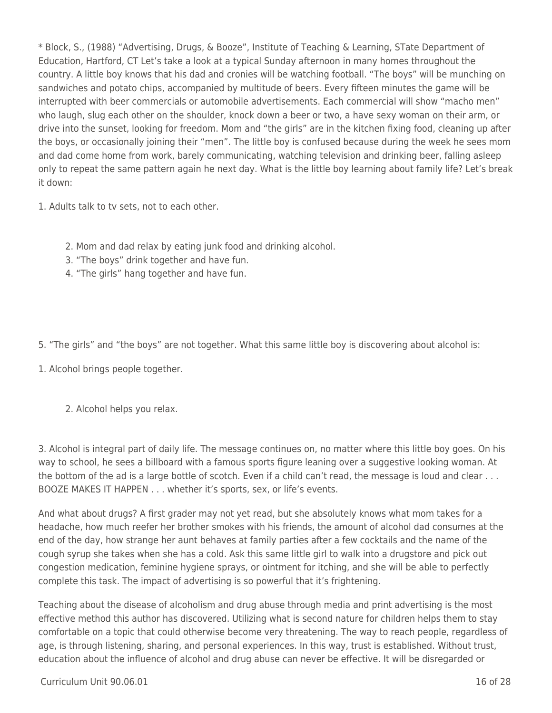\* Block, S., (1988) "Advertising, Drugs, & Booze", Institute of Teaching & Learning, STate Department of Education, Hartford, CT Let's take a look at a typical Sunday afternoon in many homes throughout the country. A little boy knows that his dad and cronies will be watching football. "The boys" will be munching on sandwiches and potato chips, accompanied by multitude of beers. Every fifteen minutes the game will be interrupted with beer commercials or automobile advertisements. Each commercial will show "macho men" who laugh, slug each other on the shoulder, knock down a beer or two, a have sexy woman on their arm, or drive into the sunset, looking for freedom. Mom and "the girls" are in the kitchen fixing food, cleaning up after the boys, or occasionally joining their "men". The little boy is confused because during the week he sees mom and dad come home from work, barely communicating, watching television and drinking beer, falling asleep only to repeat the same pattern again he next day. What is the little boy learning about family life? Let's break it down:

1. Adults talk to tv sets, not to each other.

- 2. Mom and dad relax by eating junk food and drinking alcohol.
- 3. "The boys" drink together and have fun.
- 4. "The girls" hang together and have fun.

5. "The girls" and "the boys" are not together. What this same little boy is discovering about alcohol is:

1. Alcohol brings people together.

2. Alcohol helps you relax.

3. Alcohol is integral part of daily life. The message continues on, no matter where this little boy goes. On his way to school, he sees a billboard with a famous sports figure leaning over a suggestive looking woman. At the bottom of the ad is a large bottle of scotch. Even if a child can't read, the message is loud and clear . . . BOOZE MAKES IT HAPPEN . . . whether it's sports, sex, or life's events.

And what about drugs? A first grader may not yet read, but she absolutely knows what mom takes for a headache, how much reefer her brother smokes with his friends, the amount of alcohol dad consumes at the end of the day, how strange her aunt behaves at family parties after a few cocktails and the name of the cough syrup she takes when she has a cold. Ask this same little girl to walk into a drugstore and pick out congestion medication, feminine hygiene sprays, or ointment for itching, and she will be able to perfectly complete this task. The impact of advertising is so powerful that it's frightening.

Teaching about the disease of alcoholism and drug abuse through media and print advertising is the most effective method this author has discovered. Utilizing what is second nature for children helps them to stay comfortable on a topic that could otherwise become very threatening. The way to reach people, regardless of age, is through listening, sharing, and personal experiences. In this way, trust is established. Without trust, education about the influence of alcohol and drug abuse can never be effective. It will be disregarded or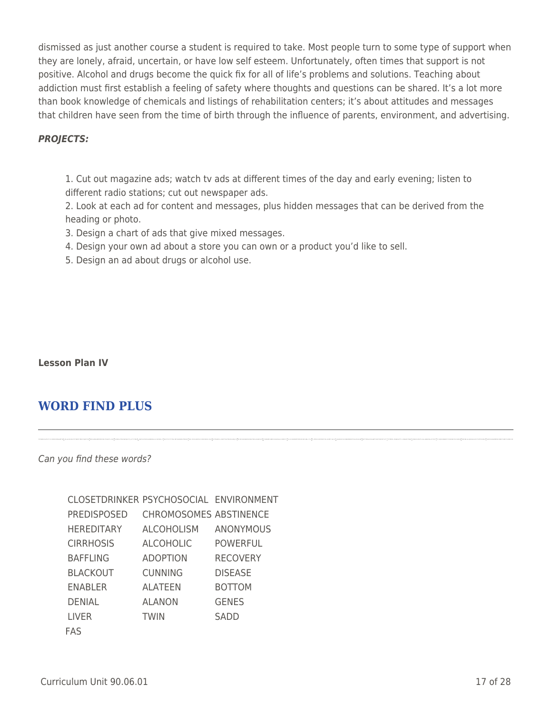dismissed as just another course a student is required to take. Most people turn to some type of support when they are lonely, afraid, uncertain, or have low self esteem. Unfortunately, often times that support is not positive. Alcohol and drugs become the quick fix for all of life's problems and solutions. Teaching about addiction must first establish a feeling of safety where thoughts and questions can be shared. It's a lot more than book knowledge of chemicals and listings of rehabilitation centers; it's about attitudes and messages that children have seen from the time of birth through the influence of parents, environment, and advertising.

## *PROJECTS:*

1. Cut out magazine ads; watch tv ads at different times of the day and early evening; listen to different radio stations; cut out newspaper ads.

2. Look at each ad for content and messages, plus hidden messages that can be derived from the heading or photo.

W Y D N M S N S S G E A A I I B B T I

 $\frac{1}{2}$ XL C O D B M T E E Z C D S N L I Y L  $\frac{1}{2}$ 

<sup>D</sup> <sup>L</sup> <sup>P</sup> <sup>E</sup> <sup>S</sup> <sup>C</sup> <sup>Z</sup> <sup>E</sup> <sup>E</sup> <sup>D</sup> <sup>T</sup> <sup>Z</sup> <sup>L</sup> <sup>O</sup> <sup>M</sup> <sup>Y</sup> <sup>I</sup> <sup>A</sup> <sup>I</sup> <sup>C</sup> <sup>Y</sup>

 $\frac{1}{2}$ KAD O I S C N N M D R P V G V U G W  $\frac{1}{2}$ 

<sup>L</sup> <sup>T</sup> <sup>P</sup> <sup>M</sup> <sup>E</sup> <sup>L</sup> <sup>H</sup> <sup>G</sup> <sup>B</sup> <sup>A</sup> <sup>F</sup> <sup>F</sup> <sup>L</sup> <sup>I</sup> <sup>N</sup> <sup>G</sup> <sup>R</sup> <sup>Y</sup> <sup>W</sup> <sup>O</sup> <sup>L</sup>

<u>t</u> ZN S S E K F L A L A O N L V Y R Y <mark>s</mark>

<sup>Y</sup> <sup>T</sup> <sup>I</sup> <sup>Z</sup> <sup>Q</sup> <sup>S</sup> <sup>N</sup> <sup>W</sup> <sup>E</sup> <sup>Y</sup> <sup>V</sup> <sup>N</sup> <sup>S</sup> <sup>N</sup> <sup>Y</sup> <sup>K</sup> <sup>C</sup> <sup>K</sup> <sup>R</sup> <sup>A</sup> <sup>H</sup>

- 3. Design a chart of ads that give mixed messages.
- 4. Design your own ad about a store you can own or a product you'd like to sell.
- 5. Design an ad about drugs or alcohol use.

### **Lesson Plan IV**

<sup>F</sup> <sup>E</sup> <sup>N</sup> <sup>R</sup> <sup>C</sup> <sup>A</sup> <sup>P</sup> <sup>C</sup> <sup>T</sup> <sup>I</sup> <sup>C</sup> <sup>V</sup> <sup>B</sup> <sup>R</sup> <sup>S</sup> <sup>M</sup> <sup>A</sup> <sup>W</sup> <sup>F</sup> <sup>D</sup> <sup>J</sup>

## **WORD FIND PLUS**

Can you find these words?

| CLOSETDRINKER PSYCHOSOCIAL ENVIRONMENT |                               |                  |
|----------------------------------------|-------------------------------|------------------|
| <b>PREDISPOSED</b>                     | <b>CHROMOSOMES ABSTINENCE</b> |                  |
| HEREDITARY                             | ALCOHOLISM                    | <b>ANONYMOUS</b> |
| <b>CIRRHOSIS</b>                       | <b>ALCOHOLIC</b>              | <b>POWERFUL</b>  |
| <b>BAFFLING</b>                        | <b>ADOPTION</b>               | <b>RECOVERY</b>  |
| <b>BLACKOUT</b>                        | <b>CUNNING</b>                | <b>DISEASE</b>   |
| ENABLER                                | <b>ALATEEN</b>                | <b>BOTTOM</b>    |
| <b>DENIAL</b>                          | <b>ALANON</b>                 | <b>GENES</b>     |
| <b>LIVER</b>                           | <b>TWIN</b>                   | <b>SADD</b>      |
| FAS                                    |                               |                  |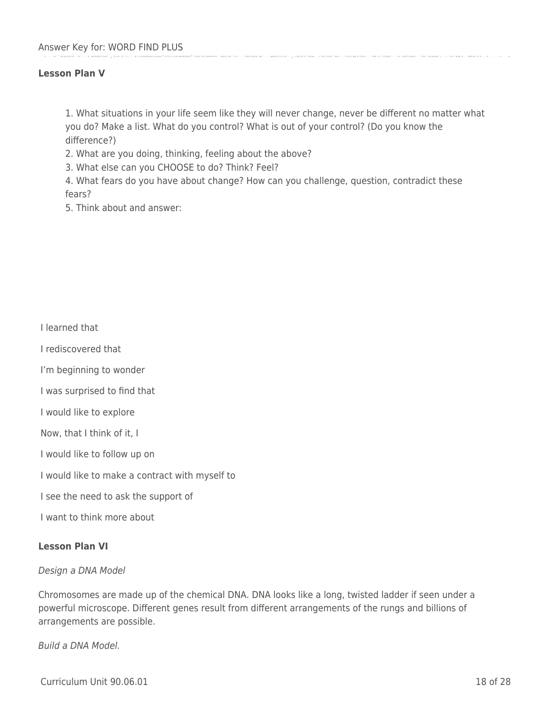. . B . P E . . E . . T . L . . . . .

. . A . . W H E R E D I T A R Y . . .

#### B L A C K O U T P . . . . O . . . . . **Lesson Plan V**

. . . . . . P . . . . . . . . M . . . .

1. What situations in your life seem like they will never change, never be different no matter what you do? Make a list. What do you control? What is out of your control? (Do you know the difference?)

. . N M S N . S S . E . A I . . . . .

. . C O O . M . E . . C D S N L . . .

L . E S C . E E D T . . O M . I . . .

. . T M A . . A . T . R T N E E . . .

. . . E L . . B A F F L I N G R . . .

. . S S E . . L A L A N O N . . Y . .

. I . . . N . E . . N S N . K . . . .

D E N I A L . R . U . . . . . E . . .

. . . . . . . . C . . . . . . . R . . .

. . N R H L . N P . . T . O . . . . .

. . E O O . O E O R . . W L . . . . .

2. What are you doing, thinking, feeling about the above?

3. What else can you CHOOSE to do? Think? Feel?

4. What fears do you have about change? How can you challenge, question, contradict these fears?

5. Think about and answer:

I learned that

I rediscovered that

I'm beginning to wonder

I was surprised to find that

I would like to explore

Now, that I think of it, I

I would like to follow up on

I would like to make a contract with myself to

I see the need to ask the support of

I want to think more about

### **Lesson Plan VI**

Design a DNA Model

Chromosomes are made up of the chemical DNA. DNA looks like a long, twisted ladder if seen under a powerful microscope. Different genes result from different arrangements of the rungs and billions of arrangements are possible.

Build a DNA Model.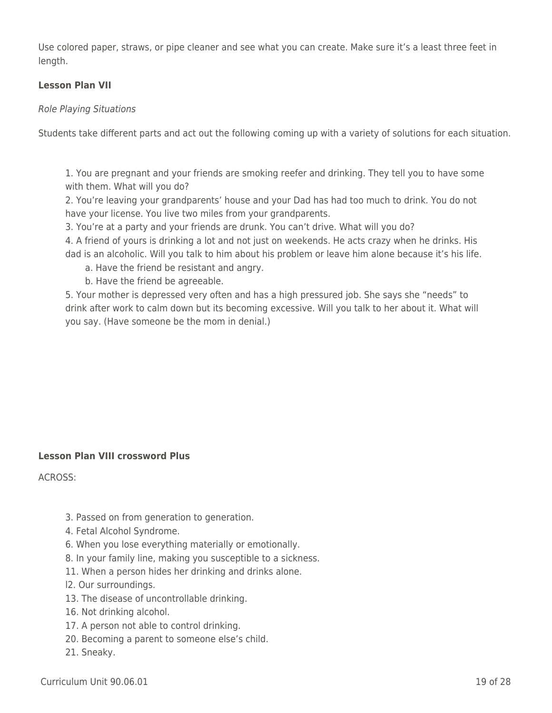Use colored paper, straws, or pipe cleaner and see what you can create. Make sure it's a least three feet in length.

## **Lesson Plan VII**

### Role Playing Situations

Students take different parts and act out the following coming up with a variety of solutions for each situation.

1. You are pregnant and your friends are smoking reefer and drinking. They tell you to have some with them. What will you do?

2. You're leaving your grandparents' house and your Dad has had too much to drink. You do not have your license. You live two miles from your grandparents.

3. You're at a party and your friends are drunk. You can't drive. What will you do?

4. A friend of yours is drinking a lot and not just on weekends. He acts crazy when he drinks. His dad is an alcoholic. Will you talk to him about his problem or leave him alone because it's his life.

a. Have the friend be resistant and angry.

b. Have the friend be agreeable.

5. Your mother is depressed very often and has a high pressured job. She says she "needs" to drink after work to calm down but its becoming excessive. Will you talk to her about it. What will you say. (Have someone be the mom in denial.)

### **Lesson Plan VIII crossword Plus**

ACROSS:

- 3. Passed on from generation to generation.
- 4. Fetal Alcohol Syndrome.
- 6. When you lose everything materially or emotionally.
- 8. In your family line, making you susceptible to a sickness.
- 11. When a person hides her drinking and drinks alone.
- l2. Our surroundings.
- 13. The disease of uncontrollable drinking.
- 16. Not drinking alcohol.
- 17. A person not able to control drinking.
- 20. Becoming a parent to someone else's child.
- 21. Sneaky.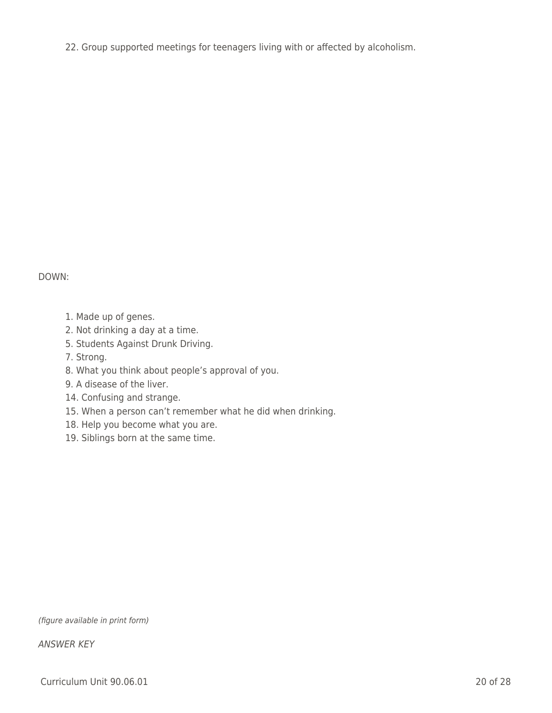22. Group supported meetings for teenagers living with or affected by alcoholism.

## DOWN:

- 1. Made up of genes.
- 2. Not drinking a day at a time.
- 5. Students Against Drunk Driving.
- 7. Strong.
- 8. What you think about people's approval of you.
- 9. A disease of the liver.
- 14. Confusing and strange.
- 15. When a person can't remember what he did when drinking.
- 18. Help you become what you are.
- 19. Siblings born at the same time.

(figure available in print form)

ANSWER KEY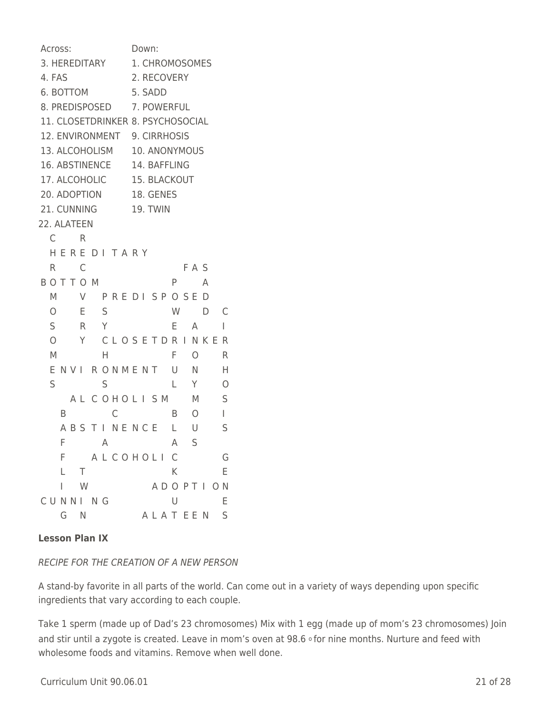Across: Down: 3. HEREDITARY 1. CHROMOSOMES 4. FAS 2. RECOVERY 6. BOTTOM 5. SADD 8. PREDISPOSED 7. POWERFUL 11. CLOSETDRINKER 8. PSYCHOSOCIAL 12. ENVIRONMENT 9. CIRRHOSIS 13. ALCOHOLISM 10. ANONYMOUS 16. ABSTINENCE 14. BAFFLING 17. ALCOHOLIC 15. BLACKOUT 20. ADOPTION 18. GENES 21. CUNNING 19. TWIN 22. ALATEEN C R H E R E D I T A R Y R C FAS B O T T O M P A M V P R E D I S P O S E D O E S W D C S R Y E A I O Y CLOSETDRINKER M H F O R E N V I R O N M E N T U N H S S L Y O A L C O H O L I S M M S B C B O I A B S T I N E N C E L U S F A A S F A L C O H O L I C G L T K E I W A D O P T I O N CUNNING U E G N A L A T E E N S

## **Lesson Plan IX**

## RECIPE FOR THE CREATION OF A NEW PERSON

A stand-by favorite in all parts of the world. Can come out in a variety of ways depending upon specific ingredients that vary according to each couple.

Take 1 sperm (made up of Dad's 23 chromosomes) Mix with 1 egg (made up of mom's 23 chromosomes) Join and stir until a zygote is created. Leave in mom's oven at 98.6 ofor nine months. Nurture and feed with wholesome foods and vitamins. Remove when well done.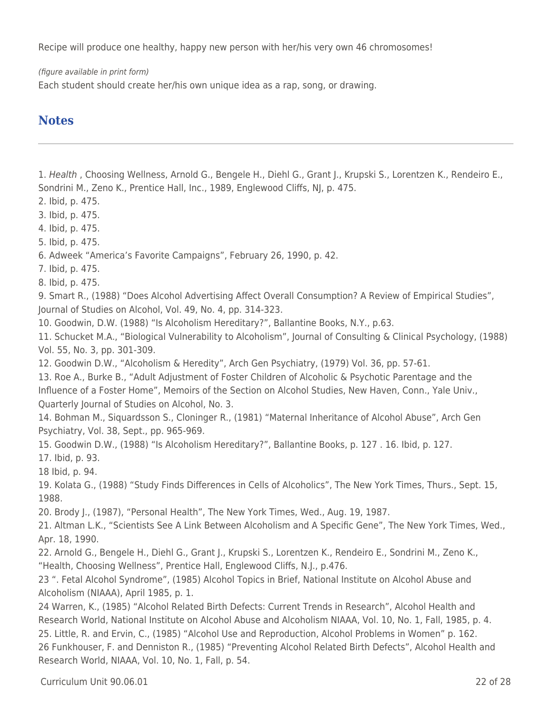Recipe will produce one healthy, happy new person with her/his very own 46 chromosomes!

(figure available in print form)

Each student should create her/his own unique idea as a rap, song, or drawing.

## **Notes**

1. Health , Choosing Wellness, Arnold G., Bengele H., Diehl G., Grant J., Krupski S., Lorentzen K., Rendeiro E., Sondrini M., Zeno K., Prentice Hall, Inc., 1989, Englewood Cliffs, NJ, p. 475.

2. Ibid, p. 475.

3. Ibid, p. 475.

4. Ibid, p. 475.

5. Ibid, p. 475.

6. Adweek "America's Favorite Campaigns", February 26, 1990, p. 42.

7. Ibid, p. 475.

8. Ibid, p. 475.

9. Smart R., (1988) "Does Alcohol Advertising Affect Overall Consumption? A Review of Empirical Studies", Journal of Studies on Alcohol, Vol. 49, No. 4, pp. 314-323.

10. Goodwin, D.W. (1988) "Is Alcoholism Hereditary?", Ballantine Books, N.Y., p.63.

11. Schucket M.A., "Biological Vulnerability to Alcoholism", Journal of Consulting & Clinical Psychology, (1988) Vol. 55, No. 3, pp. 301-309.

12. Goodwin D.W., "Alcoholism & Heredity", Arch Gen Psychiatry, (1979) Vol. 36, pp. 57-61.

13. Roe A., Burke B., "Adult Adjustment of Foster Children of Alcoholic & Psychotic Parentage and the Influence of a Foster Home", Memoirs of the Section on Alcohol Studies, New Haven, Conn., Yale Univ., Quarterly Journal of Studies on Alcohol, No. 3.

14. Bohman M., Siquardsson S., Cloninger R., (1981) "Maternal Inheritance of Alcohol Abuse", Arch Gen Psychiatry, Vol. 38, Sept., pp. 965-969.

15. Goodwin D.W., (1988) "Is Alcoholism Hereditary?", Ballantine Books, p. 127 . 16. Ibid, p. 127.

17. Ibid, p. 93.

18 Ibid, p. 94.

19. Kolata G., (1988) "Study Finds Differences in Cells of Alcoholics", The New York Times, Thurs., Sept. 15, 1988.

20. Brody J., (1987), "Personal Health", The New York Times, Wed., Aug. 19, 1987.

21. Altman L.K., "Scientists See A Link Between Alcoholism and A Specific Gene", The New York Times, Wed., Apr. 18, 1990.

22. Arnold G., Bengele H., Diehl G., Grant J., Krupski S., Lorentzen K., Rendeiro E., Sondrini M., Zeno K., "Health, Choosing Wellness", Prentice Hall, Englewood Cliffs, N.J., p.476.

23 ". Fetal Alcohol Syndrome", (1985) Alcohol Topics in Brief, National Institute on Alcohol Abuse and Alcoholism (NIAAA), April 1985, p. 1.

24 Warren, K., (1985) "Alcohol Related Birth Defects: Current Trends in Research", Alcohol Health and Research World, National Institute on Alcohol Abuse and Alcoholism NIAAA, Vol. 10, No. 1, Fall, 1985, p. 4. 25. Little, R. and Ervin, C., (1985) "Alcohol Use and Reproduction, Alcohol Problems in Women" p. 162. 26 Funkhouser, F. and Denniston R., (1985) "Preventing Alcohol Related Birth Defects", Alcohol Health and Research World, NIAAA, Vol. 10, No. 1, Fall, p. 54.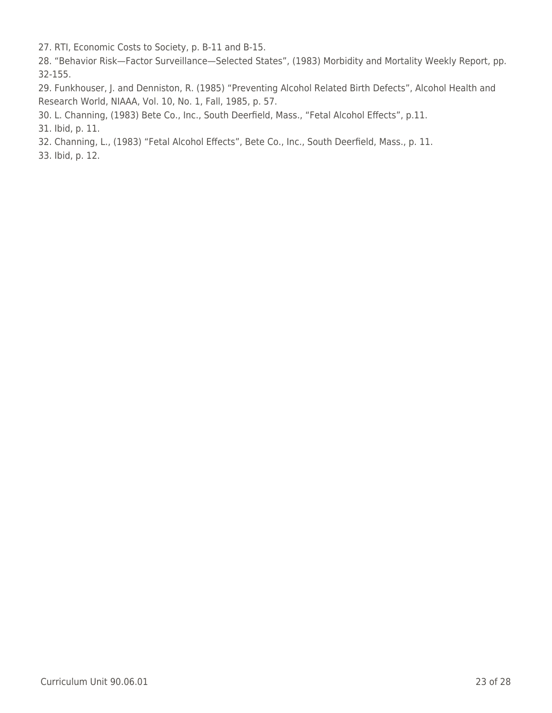27. RTI, Economic Costs to Society, p. B-11 and B-15.

28. "Behavior Risk—Factor Surveillance—Selected States", (1983) Morbidity and Mortality Weekly Report, pp. 32-155.

29. Funkhouser, J. and Denniston, R. (1985) "Preventing Alcohol Related Birth Defects", Alcohol Health and Research World, NIAAA, Vol. 10, No. 1, Fall, 1985, p. 57.

30. L. Channing, (1983) Bete Co., Inc., South Deerfield, Mass., "Fetal Alcohol Effects", p.11.

31. Ibid, p. 11.

32. Channing, L., (1983) "Fetal Alcohol Effects", Bete Co., Inc., South Deerfield, Mass., p. 11.

33. Ibid, p. 12.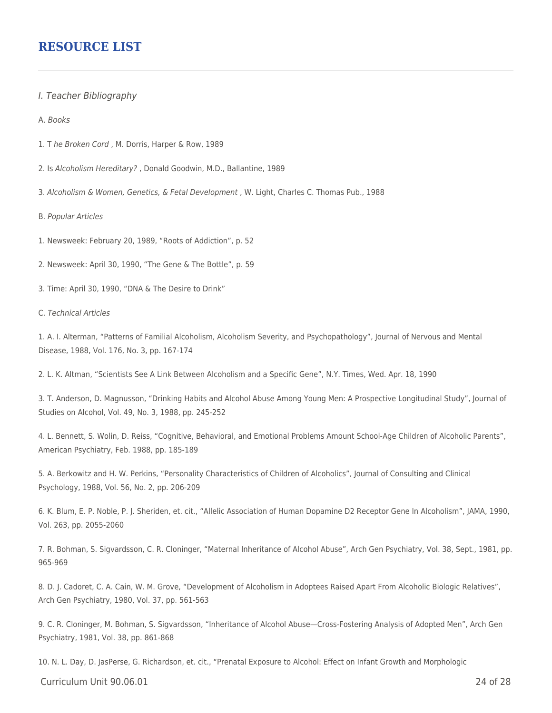## **RESOURCE LIST**

- I. Teacher Bibliography
- A. Books
- 1. T he Broken Cord , M. Dorris, Harper & Row, 1989
- 2. Is Alcoholism Hereditary? , Donald Goodwin, M.D., Ballantine, 1989
- 3. Alcoholism & Women, Genetics, & Fetal Development , W. Light, Charles C. Thomas Pub., 1988
- B. Popular Articles
- 1. Newsweek: February 20, 1989, "Roots of Addiction", p. 52
- 2. Newsweek: April 30, 1990, "The Gene & The Bottle", p. 59
- 3. Time: April 30, 1990, "DNA & The Desire to Drink"

#### C. Technical Articles

1. A. I. Alterman, "Patterns of Familial Alcoholism, Alcoholism Severity, and Psychopathology", Journal of Nervous and Mental Disease, 1988, Vol. 176, No. 3, pp. 167-174

2. L. K. Altman, "Scientists See A Link Between Alcoholism and a Specific Gene", N.Y. Times, Wed. Apr. 18, 1990

3. T. Anderson, D. Magnusson, "Drinking Habits and Alcohol Abuse Among Young Men: A Prospective Longitudinal Study", Journal of Studies on Alcohol, Vol. 49, No. 3, 1988, pp. 245-252

4. L. Bennett, S. Wolin, D. Reiss, "Cognitive, Behavioral, and Emotional Problems Amount School-Age Children of Alcoholic Parents", American Psychiatry, Feb. 1988, pp. 185-189

5. A. Berkowitz and H. W. Perkins, "Personality Characteristics of Children of Alcoholics", Journal of Consulting and Clinical Psychology, 1988, Vol. 56, No. 2, pp. 206-209

6. K. Blum, E. P. Noble, P. J. Sheriden, et. cit., "Allelic Association of Human Dopamine D2 Receptor Gene In Alcoholism", JAMA, 1990, Vol. 263, pp. 2055-2060

7. R. Bohman, S. Sigvardsson, C. R. Cloninger, "Maternal Inheritance of Alcohol Abuse", Arch Gen Psychiatry, Vol. 38, Sept., 1981, pp. 965-969

8. D. J. Cadoret, C. A. Cain, W. M. Grove, "Development of Alcoholism in Adoptees Raised Apart From Alcoholic Biologic Relatives", Arch Gen Psychiatry, 1980, Vol. 37, pp. 561-563

9. C. R. Cloninger, M. Bohman, S. Sigvardsson, "Inheritance of Alcohol Abuse—Cross-Fostering Analysis of Adopted Men", Arch Gen Psychiatry, 1981, Vol. 38, pp. 861-868

10. N. L. Day, D. JasPerse, G. Richardson, et. cit., "Prenatal Exposure to Alcohol: Effect on Infant Growth and Morphologic

Curriculum Unit 90.06.01 24 of 28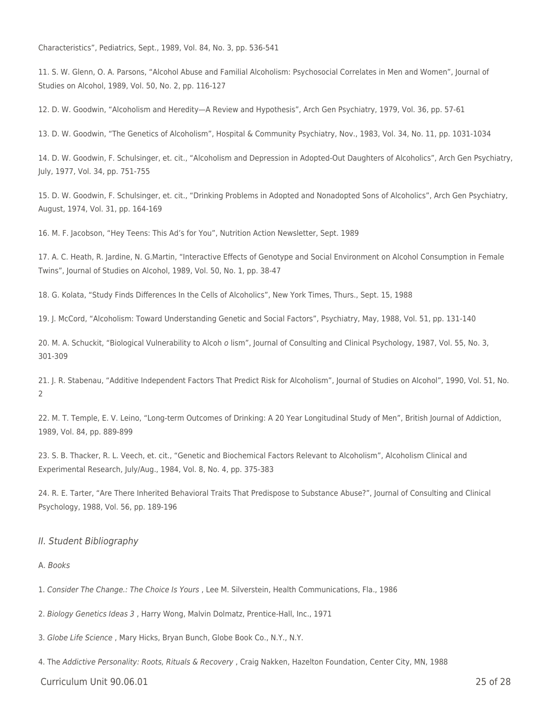Characteristics", Pediatrics, Sept., 1989, Vol. 84, No. 3, pp. 536-541

11. S. W. Glenn, O. A. Parsons, "Alcohol Abuse and Familial Alcoholism: Psychosocial Correlates in Men and Women", Journal of Studies on Alcohol, 1989, Vol. 50, No. 2, pp. 116-127

12. D. W. Goodwin, "Alcoholism and Heredity—A Review and Hypothesis", Arch Gen Psychiatry, 1979, Vol. 36, pp. 57-61

13. D. W. Goodwin, "The Genetics of Alcoholism", Hospital & Community Psychiatry, Nov., 1983, Vol. 34, No. 11, pp. 1031-1034

14. D. W. Goodwin, F. Schulsinger, et. cit., "Alcoholism and Depression in Adopted-Out Daughters of Alcoholics", Arch Gen Psychiatry, July, 1977, Vol. 34, pp. 751-755

15. D. W. Goodwin, F. Schulsinger, et. cit., "Drinking Problems in Adopted and Nonadopted Sons of Alcoholics", Arch Gen Psychiatry, August, 1974, Vol. 31, pp. 164-169

16. M. F. Jacobson, "Hey Teens: This Ad's for You", Nutrition Action Newsletter, Sept. 1989

17. A. C. Heath, R. Jardine, N. G.Martin, "Interactive Effects of Genotype and Social Environment on Alcohol Consumption in Female Twins", Journal of Studies on Alcohol, 1989, Vol. 50, No. 1, pp. 38-47

18. G. Kolata, "Study Finds Differences In the Cells of Alcoholics", New York Times, Thurs., Sept. 15, 1988

19. J. McCord, "Alcoholism: Toward Understanding Genetic and Social Factors", Psychiatry, May, 1988, Vol. 51, pp. 131-140

20. M. A. Schuckit, "Biological Vulnerability to Alcoh o lism", Journal of Consulting and Clinical Psychology, 1987, Vol. 55, No. 3, 301-309

21. J. R. Stabenau, "Additive Independent Factors That Predict Risk for Alcoholism", Journal of Studies on Alcohol", 1990, Vol. 51, No.  $\mathfrak{D}$ 

22. M. T. Temple, E. V. Leino, "Long-term Outcomes of Drinking: A 20 Year Longitudinal Study of Men", British Journal of Addiction, 1989, Vol. 84, pp. 889-899

23. S. B. Thacker, R. L. Veech, et. cit., "Genetic and Biochemical Factors Relevant to Alcoholism", Alcoholism Clinical and Experimental Research, July/Aug., 1984, Vol. 8, No. 4, pp. 375-383

24. R. E. Tarter, "Are There Inherited Behavioral Traits That Predispose to Substance Abuse?", Journal of Consulting and Clinical Psychology, 1988, Vol. 56, pp. 189-196

#### II. Student Bibliography

#### A. Books

1. Consider The Change.: The Choice Is Yours , Lee M. Silverstein, Health Communications, Fla., 1986

2. Biology Genetics Ideas 3 , Harry Wong, Malvin Dolmatz, Prentice-Hall, Inc., 1971

3. Globe Life Science , Mary Hicks, Bryan Bunch, Globe Book Co., N.Y., N.Y.

4. The Addictive Personality: Roots, Rituals & Recovery, Craig Nakken, Hazelton Foundation, Center City, MN, 1988

Curriculum Unit 90.06.01 25 of 28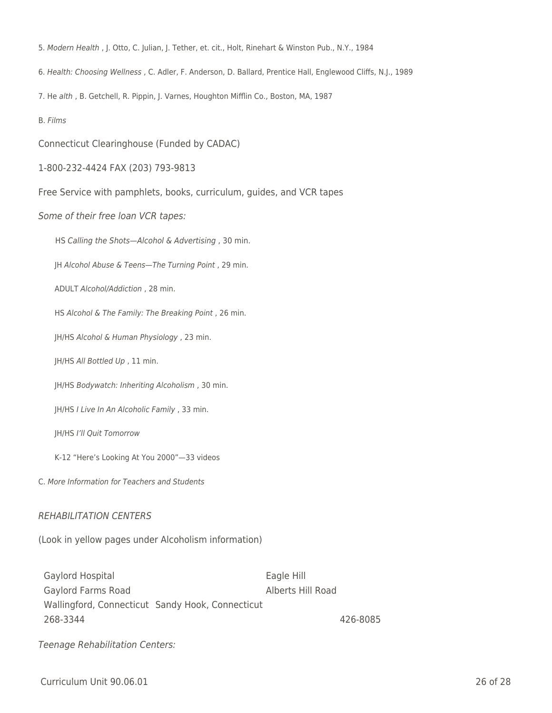- 5. Modern Health , J. Otto, C. Julian, J. Tether, et. cit., Holt, Rinehart & Winston Pub., N.Y., 1984
- 6. Health: Choosing Wellness , C. Adler, F. Anderson, D. Ballard, Prentice Hall, Englewood Cliffs, N.J., 1989
- 7. He alth , B. Getchell, R. Pippin, J. Varnes, Houghton Mifflin Co., Boston, MA, 1987
- B. Films

Connecticut Clearinghouse (Funded by CADAC)

- 1-800-232-4424 FAX (203) 793-9813
- Free Service with pamphlets, books, curriculum, guides, and VCR tapes

#### Some of their free loan VCR tapes:

HS Calling the Shots-Alcohol & Advertising , 30 min.

JH Alcohol Abuse & Teens-The Turning Point, 29 min.

ADULT Alcohol/Addiction, 28 min.

HS Alcohol & The Family: The Breaking Point, 26 min.

JH/HS Alcohol & Human Physiology, 23 min.

JH/HS All Bottled Up, 11 min.

JH/HS Bodywatch: Inheriting Alcoholism, 30 min.

JH/HS I Live In An Alcoholic Family, 33 min.

\_\_\_\_ JH/HS I'll Quit Tomorrow

K-12 "Here's Looking At You 2000"-33 videos

C. More Information for Teachers and Students

#### REHABILITATION CENTERS

(Look in yellow pages under Alcoholism information)

Gaylord Hospital **Eagle Hill** Gaylord Farms Road Alberts Hill Road Wallingford, Connecticut Sandy Hook, Connecticut 268-3344 426-8085

Teenage Rehabilitation Centers: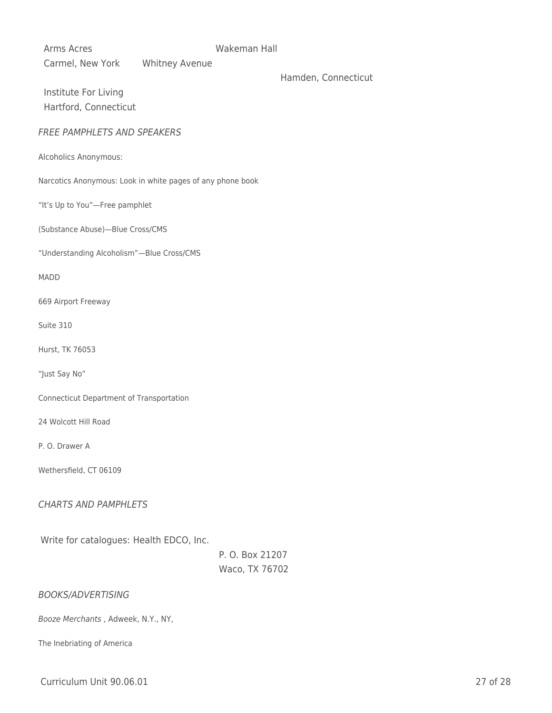Arms Acres **Makeman Hall** Carmel, New York Whitney Avenue

Hamden, Connecticut

Institute For Living Hartford, Connecticut

#### FREE PAMPHLETS AND SPEAKERS

Alcoholics Anonymous:

Narcotics Anonymous: Look in white pages of any phone book

"It's Up to You"—Free pamphlet

(Substance Abuse)—Blue Cross/CMS

"Understanding Alcoholism"—Blue Cross/CMS

MADD

669 Airport Freeway

Suite 310

Hurst, TK 76053

"Just Say No"

Connecticut Department of Transportation

24 Wolcott Hill Road

P. O. Drawer A

Wethersfield, CT 06109

CHARTS AND PAMPHLETS

Write for catalogues: Health EDCO, Inc.

P. O. Box 21207 Waco, TX 76702

BOOKS/ADVERTISING

Booze Merchants , Adweek, N.Y., NY,

The Inebriating of America

Curriculum Unit 90.06.01 27 of 28